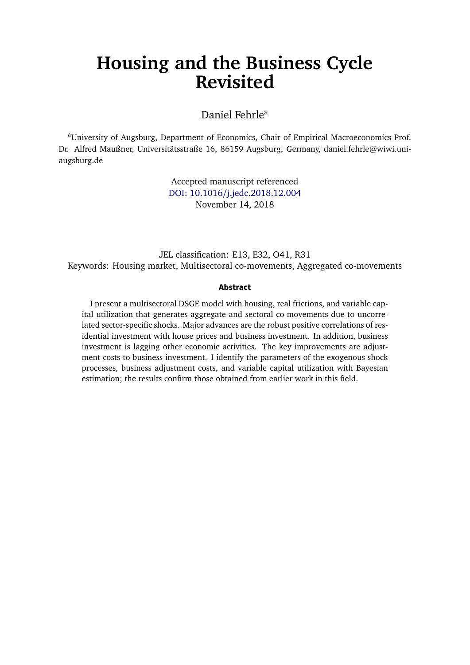# <span id="page-0-0"></span>**Housing and the Business Cycle Revisited**

Daniel Fehrle<sup>a</sup>

<sup>a</sup>University of Augsburg, Department of Economics, Chair of Empirical Macroeconomics Prof. Dr. Alfred Maußner, Universitätsstraße 16, 86159 Augsburg, Germany, daniel.fehrle@wiwi.uniaugsburg.de

> Accepted manuscript referenced DOI: 10.1016/[j.jedc.2018.12.004](https://www.sciencedirect.com/science/article/abs/pii/S0165188918303932) November 14, 2018

JEL classification: E13, E32, O41, R31 Keywords: Housing market, Multisectoral co-movements, Aggregated co-movements

#### **Abstract**

I present a multisectoral DSGE model with housing, real frictions, and variable capital utilization that generates aggregate and sectoral co-movements due to uncorrelated sector-specific shocks. Major advances are the robust positive correlations of residential investment with house prices and business investment. In addition, business investment is lagging other economic activities. The key improvements are adjustment costs to business investment. I identify the parameters of the exogenous shock processes, business adjustment costs, and variable capital utilization with Bayesian estimation; the results confirm those obtained from earlier work in this field.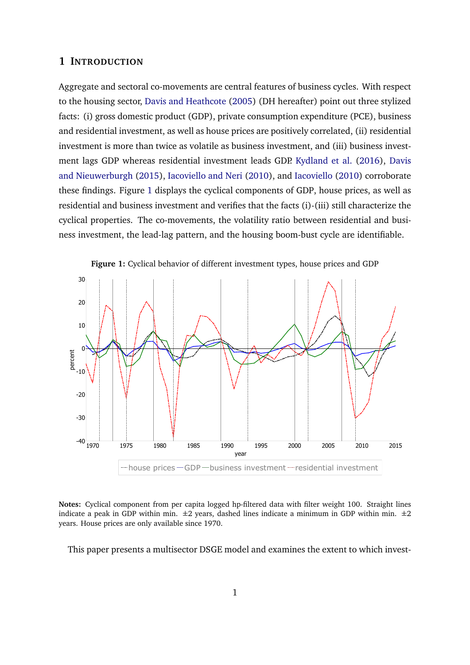# **1 INTRODUCTION**

Aggregate and sectoral co-movements are central features of business cycles. With respect to the housing sector, [Davis and Heathcote](#page-24-0) [\(2005\)](#page-24-0) (DH hereafter) point out three stylized facts: (i) gross domestic product (GDP), private consumption expenditure (PCE), business and residential investment, as well as house prices are positively correlated, (ii) residential investment is more than twice as volatile as business investment, and (iii) business investment lags GDP whereas residential investment leads GDP. [Kydland et al.](#page-26-0) [\(2016\)](#page-26-0), [Davis](#page-24-1) [and Nieuwerburgh](#page-24-1) [\(2015\)](#page-24-1), [Iacoviello and Neri](#page-25-0) [\(2010\)](#page-25-0), and [Iacoviello](#page-25-1) [\(2010\)](#page-25-1) corroborate these findings. Figure [1](#page-1-0) displays the cyclical components of GDP, house prices, as well as residential and business investment and verifies that the facts (i)-(iii) still characterize the cyclical properties. The co-movements, the volatility ratio between residential and business investment, the lead-lag pattern, and the housing boom-bust cycle are identifiable.

<span id="page-1-0"></span>





This paper presents a multisector DSGE model and examines the extent to which invest-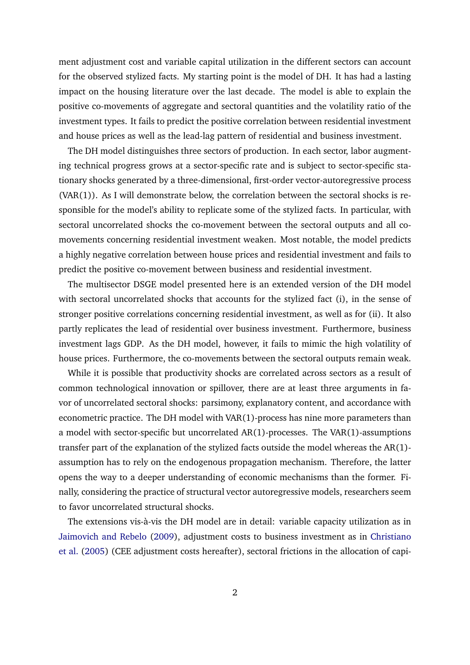ment adjustment cost and variable capital utilization in the different sectors can account for the observed stylized facts. My starting point is the model of DH. It has had a lasting impact on the housing literature over the last decade. The model is able to explain the positive co-movements of aggregate and sectoral quantities and the volatility ratio of the investment types. It fails to predict the positive correlation between residential investment and house prices as well as the lead-lag pattern of residential and business investment.

The DH model distinguishes three sectors of production. In each sector, labor augmenting technical progress grows at a sector-specific rate and is subject to sector-specific stationary shocks generated by a three-dimensional, first-order vector-autoregressive process (VAR(1)). As I will demonstrate below, the correlation between the sectoral shocks is responsible for the model's ability to replicate some of the stylized facts. In particular, with sectoral uncorrelated shocks the co-movement between the sectoral outputs and all comovements concerning residential investment weaken. Most notable, the model predicts a highly negative correlation between house prices and residential investment and fails to predict the positive co-movement between business and residential investment.

The multisector DSGE model presented here is an extended version of the DH model with sectoral uncorrelated shocks that accounts for the stylized fact (i), in the sense of stronger positive correlations concerning residential investment, as well as for (ii). It also partly replicates the lead of residential over business investment. Furthermore, business investment lags GDP. As the DH model, however, it fails to mimic the high volatility of house prices. Furthermore, the co-movements between the sectoral outputs remain weak.

While it is possible that productivity shocks are correlated across sectors as a result of common technological innovation or spillover, there are at least three arguments in favor of uncorrelated sectoral shocks: parsimony, explanatory content, and accordance with econometric practice. The DH model with VAR(1)-process has nine more parameters than a model with sector-specific but uncorrelated AR(1)-processes. The VAR(1)-assumptions transfer part of the explanation of the stylized facts outside the model whereas the AR(1) assumption has to rely on the endogenous propagation mechanism. Therefore, the latter opens the way to a deeper understanding of economic mechanisms than the former. Finally, considering the practice of structural vector autoregressive models, researchers seem to favor uncorrelated structural shocks.

The extensions vis-à-vis the DH model are in detail: variable capacity utilization as in [Jaimovich and Rebelo](#page-25-2) [\(2009\)](#page-25-2), adjustment costs to business investment as in [Christiano](#page-24-2) [et al.](#page-24-2) [\(2005\)](#page-24-2) (CEE adjustment costs hereafter), sectoral frictions in the allocation of capi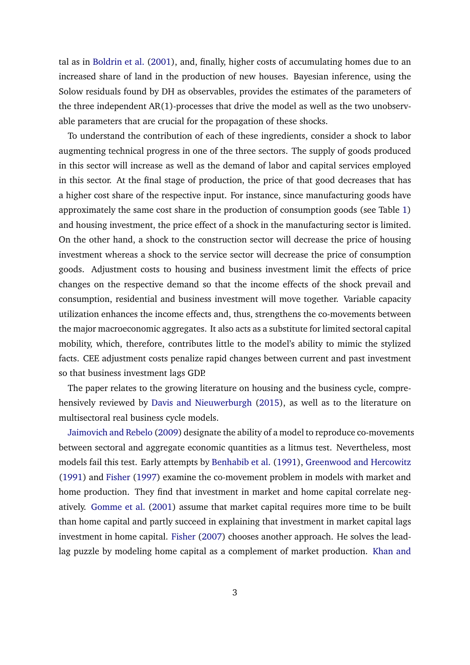tal as in [Boldrin et al.](#page-24-3) [\(2001\)](#page-24-3), and, finally, higher costs of accumulating homes due to an increased share of land in the production of new houses. Bayesian inference, using the Solow residuals found by DH as observables, provides the estimates of the parameters of the three independent AR(1)-processes that drive the model as well as the two unobservable parameters that are crucial for the propagation of these shocks.

To understand the contribution of each of these ingredients, consider a shock to labor augmenting technical progress in one of the three sectors. The supply of goods produced in this sector will increase as well as the demand of labor and capital services employed in this sector. At the final stage of production, the price of that good decreases that has a higher cost share of the respective input. For instance, since manufacturing goods have approximately the same cost share in the production of consumption goods (see Table [1\)](#page-10-0) and housing investment, the price effect of a shock in the manufacturing sector is limited. On the other hand, a shock to the construction sector will decrease the price of housing investment whereas a shock to the service sector will decrease the price of consumption goods. Adjustment costs to housing and business investment limit the effects of price changes on the respective demand so that the income effects of the shock prevail and consumption, residential and business investment will move together. Variable capacity utilization enhances the income effects and, thus, strengthens the co-movements between the major macroeconomic aggregates. It also acts as a substitute for limited sectoral capital mobility, which, therefore, contributes little to the model's ability to mimic the stylized facts. CEE adjustment costs penalize rapid changes between current and past investment so that business investment lags GDP.

The paper relates to the growing literature on housing and the business cycle, comprehensively reviewed by [Davis and Nieuwerburgh](#page-24-1) [\(2015\)](#page-24-1), as well as to the literature on multisectoral real business cycle models.

[Jaimovich and Rebelo](#page-25-2) [\(2009\)](#page-25-2) designate the ability of a model to reproduce co-movements between sectoral and aggregate economic quantities as a litmus test. Nevertheless, most models fail this test. Early attempts by [Benhabib et al.](#page-23-0) [\(1991\)](#page-23-0), [Greenwood and Hercowitz](#page-25-3) [\(1991\)](#page-25-3) and [Fisher](#page-25-4) [\(1997\)](#page-25-4) examine the co-movement problem in models with market and home production. They find that investment in market and home capital correlate negatively. [Gomme et al.](#page-25-5) [\(2001\)](#page-25-5) assume that market capital requires more time to be built than home capital and partly succeed in explaining that investment in market capital lags investment in home capital. [Fisher](#page-25-6) [\(2007\)](#page-25-6) chooses another approach. He solves the leadlag puzzle by modeling home capital as a complement of market production. [Khan and](#page-25-7)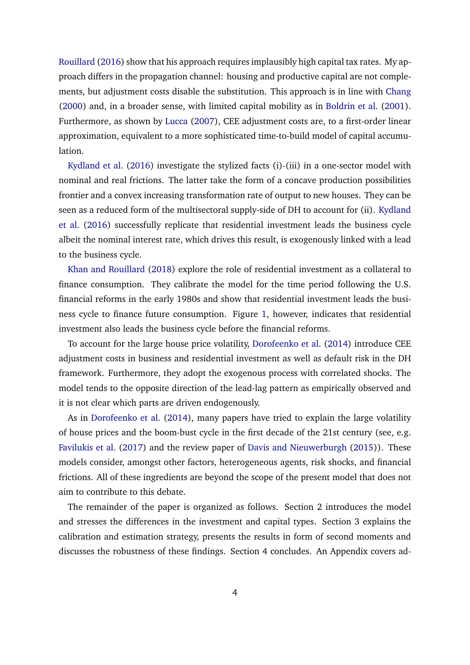[Rouillard](#page-25-7) [\(2016\)](#page-25-7) show that his approach requires implausibly high capital tax rates. My approach differs in the propagation channel: housing and productive capital are not complements, but adjustment costs disable the substitution. This approach is in line with [Chang](#page-24-4) [\(2000\)](#page-24-4) and, in a broader sense, with limited capital mobility as in [Boldrin et al.](#page-24-3) [\(2001\)](#page-24-3). Furthermore, as shown by [Lucca](#page-26-1) [\(2007\)](#page-26-1), CEE adjustment costs are, to a first-order linear approximation, equivalent to a more sophisticated time-to-build model of capital accumulation.

[Kydland et al.](#page-26-0) [\(2016\)](#page-26-0) investigate the stylized facts (i)-(iii) in a one-sector model with nominal and real frictions. The latter take the form of a concave production possibilities frontier and a convex increasing transformation rate of output to new houses. They can be seen as a reduced form of the multisectoral supply-side of DH to account for (ii). [Kydland](#page-26-0) [et al.](#page-26-0) [\(2016\)](#page-26-0) successfully replicate that residential investment leads the business cycle albeit the nominal interest rate, which drives this result, is exogenously linked with a lead to the business cycle.

[Khan and Rouillard](#page-26-2) [\(2018\)](#page-26-2) explore the role of residential investment as a collateral to finance consumption. They calibrate the model for the time period following the U.S. financial reforms in the early 1980s and show that residential investment leads the business cycle to finance future consumption. Figure [1,](#page-1-0) however, indicates that residential investment also leads the business cycle before the financial reforms.

To account for the large house price volatility, [Dorofeenko et al.](#page-24-5) [\(2014\)](#page-24-5) introduce CEE adjustment costs in business and residential investment as well as default risk in the DH framework. Furthermore, they adopt the exogenous process with correlated shocks. The model tends to the opposite direction of the lead-lag pattern as empirically observed and it is not clear which parts are driven endogenously.

As in [Dorofeenko et al.](#page-24-5) [\(2014\)](#page-24-5), many papers have tried to explain the large volatility of house prices and the boom-bust cycle in the first decade of the 21st century (see, e.g. [Favilukis et al.](#page-25-8) [\(2017\)](#page-25-8) and the review paper of [Davis and Nieuwerburgh](#page-24-1) [\(2015\)](#page-24-1)). These models consider, amongst other factors, heterogeneous agents, risk shocks, and financial frictions. All of these ingredients are beyond the scope of the present model that does not aim to contribute to this debate.

The remainder of the paper is organized as follows. Section 2 introduces the model and stresses the differences in the investment and capital types. Section 3 explains the calibration and estimation strategy, presents the results in form of second moments and discusses the robustness of these findings. Section 4 concludes. An Appendix covers ad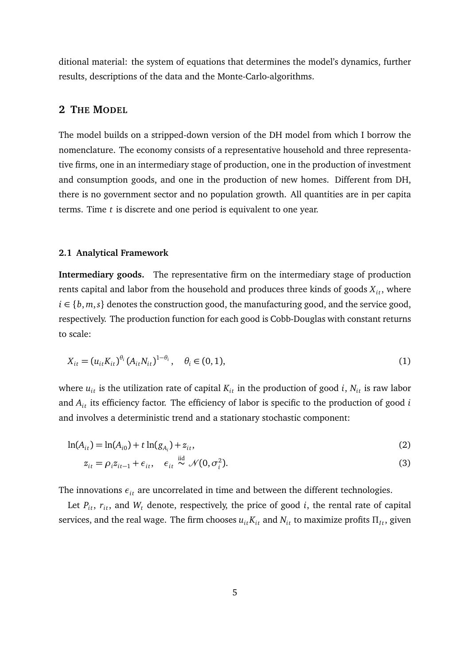ditional material: the system of equations that determines the model's dynamics, further results, descriptions of the data and the Monte-Carlo-algorithms.

# **2 THE MODEL**

The model builds on a stripped-down version of the DH model from which I borrow the nomenclature. The economy consists of a representative household and three representative firms, one in an intermediary stage of production, one in the production of investment and consumption goods, and one in the production of new homes. Different from DH, there is no government sector and no population growth. All quantities are in per capita terms. Time *t* is discrete and one period is equivalent to one year.

#### **2.1 Analytical Framework**

<span id="page-5-1"></span>**Intermediary goods.** The representative firm on the intermediary stage of production rents capital and labor from the household and produces three kinds of goods  $X_i$ , where  $i \in \{b, m, s\}$  denotes the construction good, the manufacturing good, and the service good, respectively. The production function for each good is Cobb-Douglas with constant returns to scale:

<span id="page-5-0"></span>
$$
X_{it} = (u_{it} K_{it})^{\theta_i} (A_{it} N_{it})^{1-\theta_i}, \quad \theta_i \in (0,1),
$$
\n(1)

where  $u_{it}$  is the utilization rate of capital  $K_{it}$  in the production of good *i*,  $N_{it}$  is raw labor and  $A_{it}$  its efficiency factor. The efficiency of labor is specific to the production of good  $i$ and involves a deterministic trend and a stationary stochastic component:

$$
\ln(A_{it}) = \ln(A_{i0}) + t \ln(g_{A_i}) + z_{it},
$$
\n(2)

$$
z_{it} = \rho_i z_{it-1} + \epsilon_{it}, \quad \epsilon_{it} \stackrel{\text{iid}}{\sim} \mathcal{N}(0, \sigma_i^2). \tag{3}
$$

The innovations  $\epsilon_{it}$  are uncorrelated in time and between the different technologies.

Let  $P_{it}$ ,  $r_{it}$ , and  $W_t$  denote, respectively, the price of good *i*, the rental rate of capital services, and the real wage. The firm chooses  $u_{it}K_{it}$  and  $N_{it}$  to maximize profits  $\Pi_{It}$ , given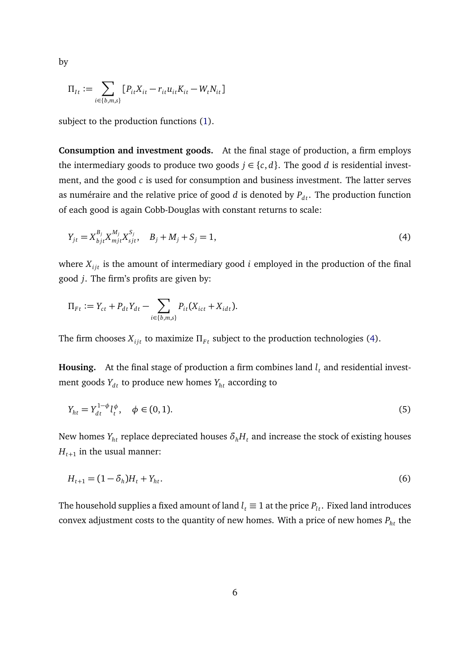$$
\Pi_{It} := \sum_{i \in \{b, m, s\}} [P_{it} X_{it} - r_{it} u_{it} K_{it} - W_t N_{it}]
$$

subject to the production functions [\(1\)](#page-5-0).

**Consumption and investment goods.** At the final stage of production, a firm employs the intermediary goods to produce two goods  $j \in \{c, d\}$ . The good *d* is residential investment, and the good *c* is used for consumption and business investment. The latter serves as numéraire and the relative price of good  $d$  is denoted by  $P_{dt}$ . The production function of each good is again Cobb-Douglas with constant returns to scale:

<span id="page-6-0"></span>
$$
Y_{jt} = X_{bjt}^{B_j} X_{mjt}^{M_j} X_{sjt}^{S_j}, \quad B_j + M_j + S_j = 1,
$$
\n(4)

where  $X_{i}$  is the amount of intermediary good *i* employed in the production of the final good *j*. The firm's profits are given by:

$$
\Pi_{Ft} := Y_{ct} + P_{dt}Y_{dt} - \sum_{i \in \{b,m,s\}} P_{it}(X_{ict} + X_{idt}).
$$

The firm chooses  $X_{ijt}$  to maximize  $\Pi_{Ft}$  subject to the production technologies [\(4\)](#page-6-0).

**Housing.** At the final stage of production a firm combines land  $l_t$  and residential investment goods  $Y_{dt}$  to produce new homes  $Y_{ht}$  according to

$$
Y_{ht} = Y_{dt}^{1-\phi} l_t^{\phi}, \quad \phi \in (0,1).
$$
 (5)

New homes  $Y_{ht}$  replace depreciated houses  $\delta_h H_t$  and increase the stock of existing houses  $H_{t+1}$  in the usual manner:

$$
H_{t+1} = (1 - \delta_h)H_t + Y_{ht}.
$$
\n(6)

The household supplies a fixed amount of land  $l_t \equiv 1$  at the price  $P_{lt}$ . Fixed land introduces convex adjustment costs to the quantity of new homes. With a price of new homes *Pht* the

<span id="page-6-2"></span><span id="page-6-1"></span>6

by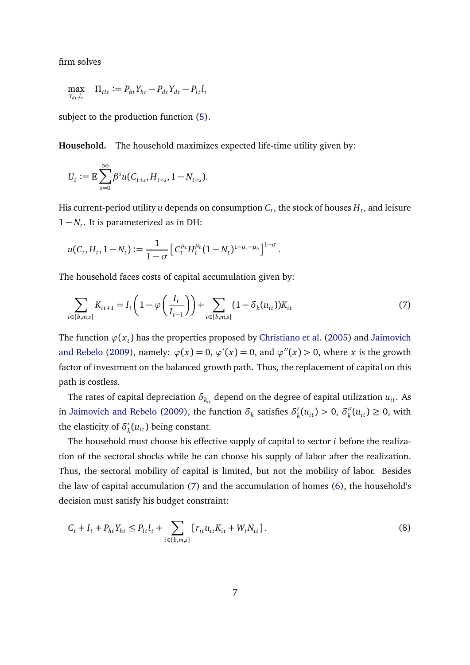firm solves

$$
\max_{Y_{dt},l_t} \quad \Pi_{Ht} := P_{ht}Y_{ht} - P_{dt}Y_{dt} - P_{lt}l_t
$$

subject to the production function [\(5\)](#page-6-1).

**Household.** The household maximizes expected life-time utility given by:

$$
U_t := \mathbb{E} \sum_{s=0}^{\infty} \beta^s u(C_{t+s}, H_{t+s}, 1 - N_{t+s}).
$$

His current-period utility  $u$  depends on consumption  $C_t$ , the stock of houses  $H_t$ , and leisure  $1 - N_t$ . It is parameterized as in DH:

<span id="page-7-0"></span>
$$
u(C_t, H_t, 1 - N_t) := \frac{1}{1 - \sigma} \left[ C_t^{\mu_c} H_t^{\mu_h} (1 - N_t)^{1 - \mu_c - \mu_h} \right]^{1 - \sigma}.
$$

The household faces costs of capital accumulation given by:

$$
\sum_{i \in \{b,m,s\}} K_{it+1} = I_t \left( 1 - \varphi \left( \frac{I_t}{I_{t-1}} \right) \right) + \sum_{i \in \{b,m,s\}} (1 - \delta_k(u_{it})) K_{it} \tag{7}
$$

The function  $\varphi(x_t)$  has the properties proposed by [Christiano et al.](#page-24-2) [\(2005\)](#page-24-2) and [Jaimovich](#page-25-2) [and Rebelo](#page-25-2) [\(2009\)](#page-25-2), namely:  $\varphi(x) = 0$ ,  $\varphi'(x) = 0$ , and  $\varphi''(x) > 0$ , where *x* is the growth factor of investment on the balanced growth path. Thus, the replacement of capital on this path is costless.

The rates of capital depreciation  $\delta_{k_{it}}$  depend on the degree of capital utilization  $u_{it}.$  As in [Jaimovich and Rebelo](#page-25-2) [\(2009\)](#page-25-2), the function  $\delta_k$  satisfies  $\delta'_k$  $h_k'(u_{it}) > 0, \delta_k''$  $u''_k(u_{it}) \geq 0$ , with the elasticity of  $\delta'$ <sub> $l$ </sub>  $\kappa'$  $(u_{it})$  being constant.

The household must choose his effective supply of capital to sector *i* before the realization of the sectoral shocks while he can choose his supply of labor after the realization. Thus, the sectoral mobility of capital is limited, but not the mobility of labor. Besides the law of capital accumulation [\(7\)](#page-7-0) and the accumulation of homes [\(6\)](#page-6-2), the household's decision must satisfy his budget constraint:

$$
C_{t} + I_{t} + P_{ht}Y_{ht} \leq P_{lt}I_{t} + \sum_{i \in \{b, m, s\}} [r_{it}u_{it}K_{it} + W_{t}N_{it}].
$$
\n(8)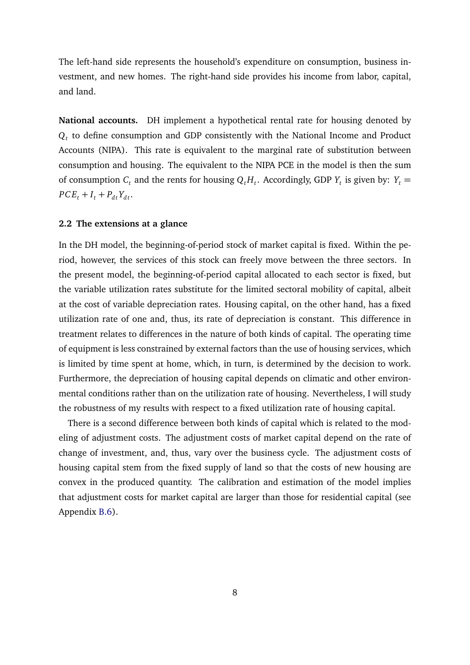The left-hand side represents the household's expenditure on consumption, business investment, and new homes. The right-hand side provides his income from labor, capital, and land.

**National accounts.** DH implement a hypothetical rental rate for housing denoted by *Qt* to define consumption and GDP consistently with the National Income and Product Accounts (NIPA). This rate is equivalent to the marginal rate of substitution between consumption and housing. The equivalent to the NIPA PCE in the model is then the sum of consumption  $C_t$  and the rents for housing  $Q_t H_t$ . Accordingly, GDP  $Y_t$  is given by:  $Y_t =$  $PCE_t + I_t + P_{dt}Y_{dt}$ .

#### **2.2 The extensions at a glance**

In the DH model, the beginning-of-period stock of market capital is fixed. Within the period, however, the services of this stock can freely move between the three sectors. In the present model, the beginning-of-period capital allocated to each sector is fixed, but the variable utilization rates substitute for the limited sectoral mobility of capital, albeit at the cost of variable depreciation rates. Housing capital, on the other hand, has a fixed utilization rate of one and, thus, its rate of depreciation is constant. This difference in treatment relates to differences in the nature of both kinds of capital. The operating time of equipment is less constrained by external factors than the use of housing services, which is limited by time spent at home, which, in turn, is determined by the decision to work. Furthermore, the depreciation of housing capital depends on climatic and other environmental conditions rather than on the utilization rate of housing. Nevertheless, I will study the robustness of my results with respect to a fixed utilization rate of housing capital.

There is a second difference between both kinds of capital which is related to the modeling of adjustment costs. The adjustment costs of market capital depend on the rate of change of investment, and, thus, vary over the business cycle. The adjustment costs of housing capital stem from the fixed supply of land so that the costs of new housing are convex in the produced quantity. The calibration and estimation of the model implies that adjustment costs for market capital are larger than those for residential capital (see Appendix [B.6\)](#page-0-0).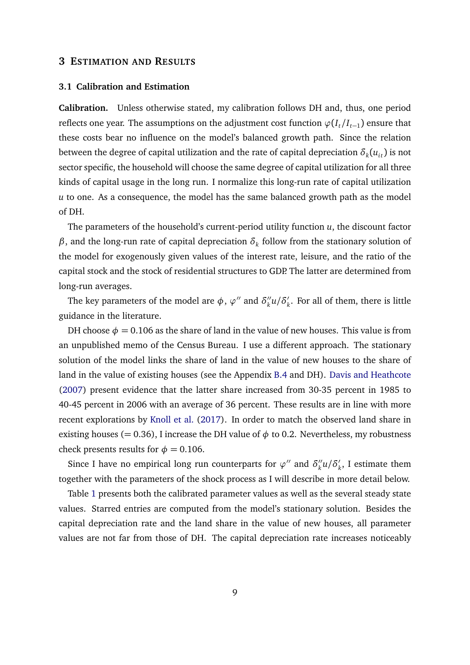#### **3 ESTIMATION AND RESULTS**

#### **3.1 Calibration and Estimation**

**Calibration.** Unless otherwise stated, my calibration follows DH and, thus, one period reflects one year. The assumptions on the adjustment cost function  $\varphi(I_t/I_{t-1})$  ensure that these costs bear no influence on the model's balanced growth path. Since the relation between the degree of capital utilization and the rate of capital depreciation  $\delta_k(u_{it})$  is not sector specific, the household will choose the same degree of capital utilization for all three kinds of capital usage in the long run. I normalize this long-run rate of capital utilization *u* to one. As a consequence, the model has the same balanced growth path as the model of DH.

The parameters of the household's current-period utility function  $u$ , the discount factor  $\beta$ , and the long-run rate of capital depreciation  $\delta_k$  follow from the stationary solution of the model for exogenously given values of the interest rate, leisure, and the ratio of the capital stock and the stock of residential structures to GDP. The latter are determined from long-run averages.

The key parameters of the model are  $\phi$ ,  $\varphi$ <sup>*''*</sup> and  $\delta$ <sup>''</sup>  $\int_{k}^{\prime\prime} u/\delta'_{k}$ . For all of them, there is little guidance in the literature.

DH choose  $\phi = 0.106$  as the share of land in the value of new houses. This value is from an unpublished memo of the Census Bureau. I use a different approach. The stationary solution of the model links the share of land in the value of new houses to the share of land in the value of existing houses (see the Appendix [B.4](#page-5-1) and DH). [Davis and Heathcote](#page-24-6) [\(2007\)](#page-24-6) present evidence that the latter share increased from 30-35 percent in 1985 to 40-45 percent in 2006 with an average of 36 percent. These results are in line with more recent explorations by [Knoll et al.](#page-26-3) [\(2017\)](#page-26-3). In order to match the observed land share in existing houses (= 0.36), I increase the DH value of  $\phi$  to 0.2. Nevertheless, my robustness check presents results for  $\phi = 0.106$ .

Since I have no empirical long run counterparts for  $\varphi''$  and  $\delta''_k$  $\int_{k}^{\prime} u/\delta'_{k}$ , I estimate them together with the parameters of the shock process as I will describe in more detail below.

Table [1](#page-10-0) presents both the calibrated parameter values as well as the several steady state values. Starred entries are computed from the model's stationary solution. Besides the capital depreciation rate and the land share in the value of new houses, all parameter values are not far from those of DH. The capital depreciation rate increases noticeably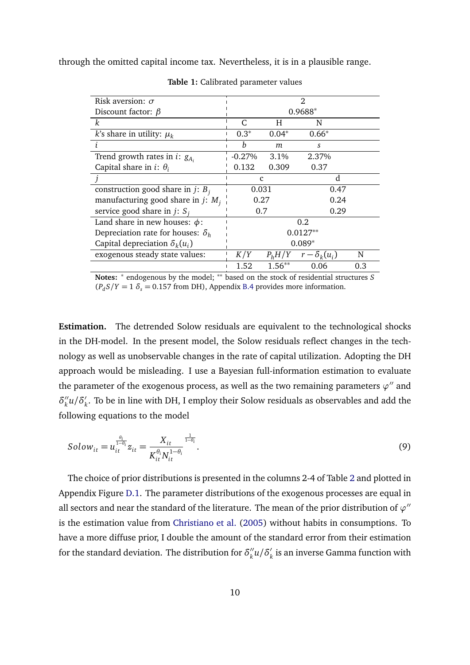<span id="page-10-0"></span>through the omitted capital income tax. Nevertheless, it is in a plausible range.

| Risk aversion: $\sigma$                      | 2                                         |         |           |  |  |
|----------------------------------------------|-------------------------------------------|---------|-----------|--|--|
| Discount factor: $\beta$                     |                                           |         | $0.9688*$ |  |  |
| k                                            | C.                                        | Н       | N         |  |  |
| <i>k</i> 's share in utility: $\mu_k$        | $0.3*$                                    | $0.04*$ | $0.66*$   |  |  |
|                                              | h                                         | m       | S.        |  |  |
| Trend growth rates in <i>i</i> : $g_{A_i}$   | $-0.27\%$                                 | 3.1%    | 2.37%     |  |  |
| Capital share in <i>i</i> : $\theta_i$       | 0.132                                     | 0.309   | 0.37      |  |  |
|                                              | d<br>C                                    |         |           |  |  |
| construction good share in <i>j</i> : $B_i$  | 0.031                                     |         | 0.47      |  |  |
| manufacturing good share in <i>j</i> : $M_i$ |                                           | 0.27    | 0.24      |  |  |
| service good share in $j: S_i$               | 0.29<br>0.7                               |         |           |  |  |
| Land share in new houses: $\phi$ :           | 0.2                                       |         |           |  |  |
| Depreciation rate for houses: $\delta_h$     | $0.0127**$                                |         |           |  |  |
| Capital depreciation $\delta_k(u_i)$         | $0.089*$                                  |         |           |  |  |
| exogenous steady state values:               | $P_h H/Y$ $r - \delta_k(u_i)$<br>K/Y<br>N |         |           |  |  |
|                                              | $1.56***$<br>0.3<br>0.06<br>1.52          |         |           |  |  |

**Table 1:** Calibrated parameter values

**Notes:** <sup>∗</sup> endogenous by the model; ∗∗ based on the stock of residential structures *S*  $(P_d S/Y = 1 \delta_s = 0.157$  from DH), Appendix [B.4](#page-5-1) provides more information.

**Estimation.** The detrended Solow residuals are equivalent to the technological shocks in the DH-model. In the present model, the Solow residuals reflect changes in the technology as well as unobservable changes in the rate of capital utilization. Adopting the DH approach would be misleading. I use a Bayesian full-information estimation to evaluate the parameter of the exogenous process, as well as the two remaining parameters  $\varphi''$  and  $\delta_k''$  $\binom{n}{k}$  To be in line with DH, I employ their Solow residuals as observables and add the following equations to the model

$$
Solow_{it} = u_{it}^{\frac{\theta_i}{1-\theta_i}} z_{it} = \frac{X_{it}}{K_{it}^{\theta_i} N_{it}^{1-\theta_i}}^{\frac{1}{1-\theta_i}}.
$$
\n(9)

The choice of prior distributions is presented in the columns 2-4 of Table [2](#page-11-0) and plotted in Appendix Figure [D.1.](#page-0-0) The parameter distributions of the exogenous processes are equal in all sectors and near the standard of the literature. The mean of the prior distribution of  $\varphi''$ is the estimation value from [Christiano et al.](#page-24-2) [\(2005\)](#page-24-2) without habits in consumptions. To have a more diffuse prior, I double the amount of the standard error from their estimation for the standard deviation. The distribution for  $\delta''_k$  $\int_{k}^{n} u/\delta_{k}'$  is an inverse Gamma function with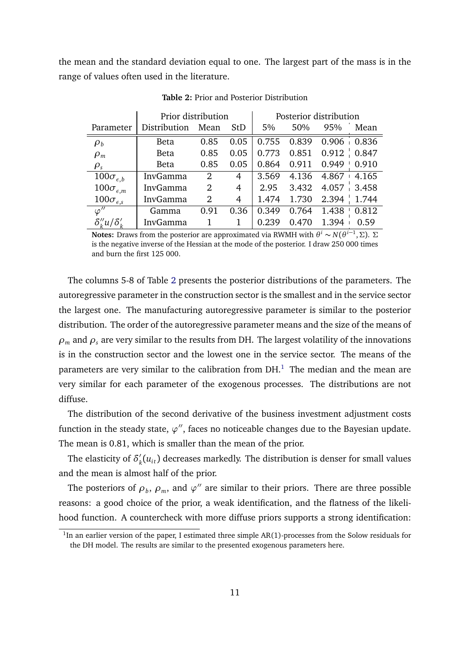<span id="page-11-0"></span>the mean and the standard deviation equal to one. The largest part of the mass is in the range of values often used in the literature.

|                          | Prior distribution |                |      | Posterior distribution |       |                    |       |
|--------------------------|--------------------|----------------|------|------------------------|-------|--------------------|-------|
| Parameter                | Distribution       | Mean           | StD  | 5%                     | 50%   | 95%                | Mean  |
| $\rho_b$                 | Beta               | 0.85           | 0.05 | 0.755                  | 0.839 | $0.906 \div 0.836$ |       |
| $\rho_m$                 | Beta               | 0.85           | 0.05 | 0.773                  | 0.851 | $0.912 \div 0.847$ |       |
| $\rho_s$                 | Beta               | 0.85           | 0.05 | 0.864                  | 0.911 | 0.949              | 0.910 |
| $100\sigma_{\epsilon,b}$ | InvGamma           | $\overline{2}$ | 4    | 3.569                  | 4.136 | 4.867              | 4.165 |
| $100\sigma_{\epsilon,m}$ | InvGamma           | $\overline{2}$ | 4    | 2.95                   | 3.432 | $4.057 \div 3.458$ |       |
| $100\sigma_{\epsilon,s}$ | InvGamma           | $\overline{2}$ | 4    | 1.474                  | 1.730 | 2.394              | 1.744 |
| $\varphi''$              | Gamma              | 0.91           | 0.36 | 0.349                  | 0.764 | 1.438              | 0.812 |
| $\delta''_k u/\delta'_k$ | InvGamma           |                |      | 0.239                  | 0.470 | 1.394              | 0.59  |

**Table 2:** Prior and Posterior Distribution

**Notes:** Draws from the posterior are approximated via RWMH with  $\theta$ <sup>*i*</sup> ∼ *N*( $\theta$ <sup>*i*-1</sup>, Σ). Σ is the negative inverse of the Hessian at the mode of the posterior. I draw 250 000 times and burn the first 125 000.

The columns 5-8 of Table [2](#page-11-0) presents the posterior distributions of the parameters. The autoregressive parameter in the construction sector is the smallest and in the service sector the largest one. The manufacturing autoregressive parameter is similar to the posterior distribution. The order of the autoregressive parameter means and the size of the means of  $\rho_m$  and  $\rho_s$  are very similar to the results from DH. The largest volatility of the innovations is in the construction sector and the lowest one in the service sector. The means of the parameters are very similar to the calibration from  $DH<sup>1</sup>$  $DH<sup>1</sup>$  $DH<sup>1</sup>$ . The median and the mean are very similar for each parameter of the exogenous processes. The distributions are not diffuse.

The distribution of the second derivative of the business investment adjustment costs function in the steady state, φ", faces no noticeable changes due to the Bayesian update. The mean is 0.81, which is smaller than the mean of the prior.

The elasticity of  $\delta'$ <sub> $k$ </sub>  $\mathcal{U}_{k}^{\prime}(u_{it})$  decreases markedly. The distribution is denser for small values and the mean is almost half of the prior.

The posteriors of  $\rho_b$ ,  $\rho_m$ , and  $\varphi''$  are similar to their priors. There are three possible reasons: a good choice of the prior, a weak identification, and the flatness of the likelihood function. A countercheck with more diffuse priors supports a strong identification:

 $1$ In an earlier version of the paper, I estimated three simple AR(1)-processes from the Solow residuals for the DH model. The results are similar to the presented exogenous parameters here.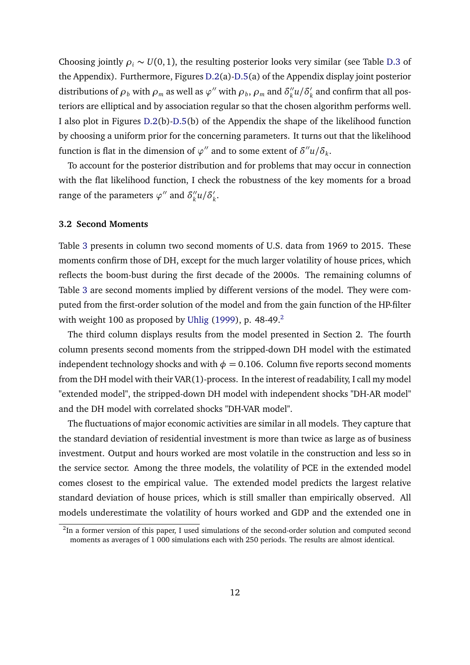Choosing jointly  $\rho_i \sim U(0, 1)$ , the resulting posterior looks very similar (see Table [D.3](#page-0-0) of the Appendix). Furthermore, Figures [D.2\(](#page-0-0)a)[-D.5\(](#page-0-0)a) of the Appendix display joint posterior distributions of  $\rho_b$  with  $\rho_m$  as well as  $\varphi''$  with  $\rho_b$ ,  $\rho_m$  and  $\delta''_k$  $\int_{k}^{n} u/\delta'_{k}$  and confirm that all posteriors are elliptical and by association regular so that the chosen algorithm performs well. I also plot in Figures [D.2\(](#page-0-0)b)[-D.5\(](#page-0-0)b) of the Appendix the shape of the likelihood function by choosing a uniform prior for the concerning parameters. It turns out that the likelihood function is flat in the dimension of  $\varphi''$  and to some extent of  $\delta'' u/\delta_k$ .

To account for the posterior distribution and for problems that may occur in connection with the flat likelihood function, I check the robustness of the key moments for a broad range of the parameters  $\varphi''$  and  $\delta''_\nu$  $\frac{m}{k}u/\delta_k'$ .

#### **3.2 Second Moments**

Table [3](#page-14-0) presents in column two second moments of U.S. data from 1969 to 2015. These moments confirm those of DH, except for the much larger volatility of house prices, which reflects the boom-bust during the first decade of the 2000s. The remaining columns of Table [3](#page-14-0) are second moments implied by different versions of the model. They were computed from the first-order solution of the model and from the gain function of the HP-filter with weight 100 as proposed by [Uhlig](#page-26-4) [\(1999\)](#page-26-4), p.  $48-49$ <sup>[2](#page-0-0)</sup>

The third column displays results from the model presented in Section 2. The fourth column presents second moments from the stripped-down DH model with the estimated independent technology shocks and with  $\phi = 0.106$ . Column five reports second moments from the DH model with their VAR(1)-process. In the interest of readability, I call my model "extended model", the stripped-down DH model with independent shocks "DH-AR model" and the DH model with correlated shocks "DH-VAR model".

The fluctuations of major economic activities are similar in all models. They capture that the standard deviation of residential investment is more than twice as large as of business investment. Output and hours worked are most volatile in the construction and less so in the service sector. Among the three models, the volatility of PCE in the extended model comes closest to the empirical value. The extended model predicts the largest relative standard deviation of house prices, which is still smaller than empirically observed. All models underestimate the volatility of hours worked and GDP and the extended one in

<sup>&</sup>lt;sup>2</sup>In a former version of this paper, I used simulations of the second-order solution and computed second moments as averages of 1 000 simulations each with 250 periods. The results are almost identical.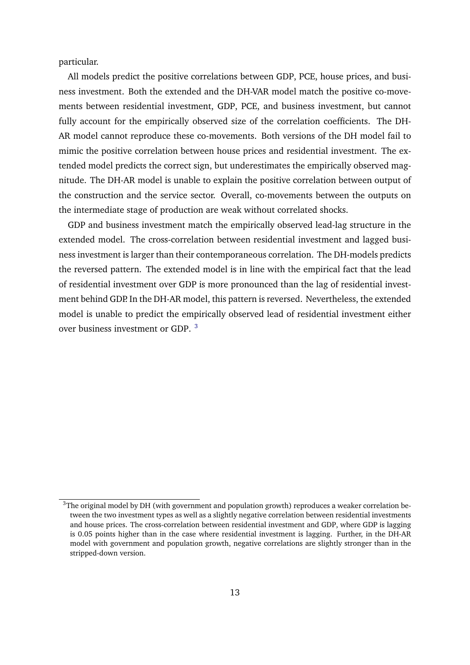particular.

All models predict the positive correlations between GDP, PCE, house prices, and business investment. Both the extended and the DH-VAR model match the positive co-movements between residential investment, GDP, PCE, and business investment, but cannot fully account for the empirically observed size of the correlation coefficients. The DH-AR model cannot reproduce these co-movements. Both versions of the DH model fail to mimic the positive correlation between house prices and residential investment. The extended model predicts the correct sign, but underestimates the empirically observed magnitude. The DH-AR model is unable to explain the positive correlation between output of the construction and the service sector. Overall, co-movements between the outputs on the intermediate stage of production are weak without correlated shocks.

GDP and business investment match the empirically observed lead-lag structure in the extended model. The cross-correlation between residential investment and lagged business investment is larger than their contemporaneous correlation. The DH-models predicts the reversed pattern. The extended model is in line with the empirical fact that the lead of residential investment over GDP is more pronounced than the lag of residential investment behind GDP. In the DH-AR model, this pattern is reversed. Nevertheless, the extended model is unable to predict the empirically observed lead of residential investment either over business investment or GDP. [3](#page-0-0)

<sup>&</sup>lt;sup>3</sup>The original model by DH (with government and population growth) reproduces a weaker correlation between the two investment types as well as a slightly negative correlation between residential investments and house prices. The cross-correlation between residential investment and GDP, where GDP is lagging is 0.05 points higher than in the case where residential investment is lagging. Further, in the DH-AR model with government and population growth, negative correlations are slightly stronger than in the stripped-down version.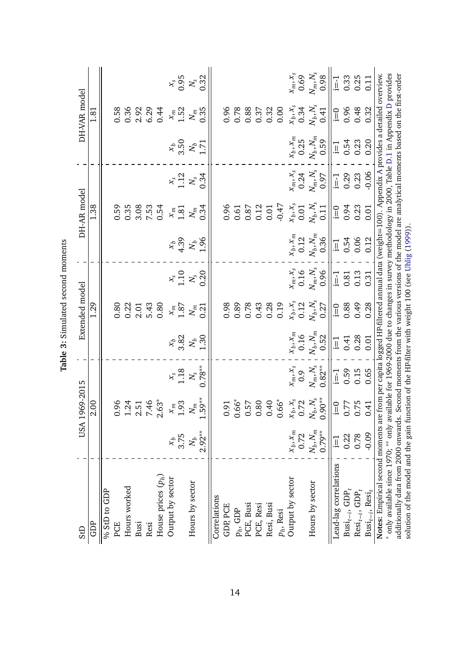<span id="page-14-0"></span>

| $x_n, x_s$<br>$0.69$<br>$N_m, N_s$<br>$\frac{88}{11}$<br>$\frac{1}{11}$<br>$\frac{1}{10}$<br>$\frac{33}{10}$<br>$\frac{35}{11}$<br>$\frac{1}{10}$<br>Notes: Empirical second moments are from per capita logged HP-filtered annual data (weight=100). Appendix A provides a detailed overview<br>$x_s$<br>0.95<br>$N_s$<br>0.32<br>$\begin{array}{c} 0.96 \\ 0.78 \\ 0.33 \\ 0.37 \\ 0.32 \\ 0.00 \\ 0.00 \\ 0.00 \\ 0.01 \\ 0.04 \\ 0.04 \\ 0.41 \\ 0.41 \\ 0.41 \\ 0.41 \\ 0.41 \\ 0.41 \\ 0.41 \\ 0.41 \\ 0.42 \\ 0.41 \\ 0.42 \\ 0.43 \\ 0.44 \\ 0.45 \\ 0.45 \\ 0.47 \\ 0.47 \\ 0.49 \\ 0.49 \\ 0.49 \\ 0.49 \\ 0.49 \\ 0.49 \\ 0.49 \\ 0.$<br>$\begin{array}{c} 0.58 \\ 0.36 \\ 0.22 \\ 0.37 \\ 0.4 \\ 0.52 \\ 0.35 \\ 0.35 \\ \end{array}$<br>$\frac{1}{1}$ = 0<br>0.96<br>0.32<br>$x_b, x_m$<br>0.25<br>$y_b, N_m$<br>0.59<br>$x_b$<br>3.50<br>$N_b$<br>1.71<br>$x_m, x_s$<br>$0.24$<br>$N_m, N_s$<br>$0.97$<br>$\begin{array}{ l }\n\hline 1 & 2 & 3 \\ 0 & 2 & 3 \\ 0 & 0 & 0\n\end{array}$<br>$x_s$<br>1.12<br>$N_s$<br>0.34<br>$\begin{array}{c} 0.96 \\ 0.61 \\ 0.87 \\ 0.12 \\ 0.01 \\ 0.04 \\ \end{array} , \begin{array}{l} 7 \\ 7 \\ 8 \\ 9 \\ 10 \\ 11 \\ \end{array} , \begin{array}{l} 7 \\ 7 \\ 8 \\ 9 \\ 10 \\ \end{array} , \begin{array}{l} 7 \\ 7 \\ 8 \\ 1 \\ 1 \\ 1 \end{array}$<br>$\begin{array}{c} 0.59 \\ 0.33 \\ 0.35 \\ 0.54 \\ 0.54 \\ 0.34 \\ \end{array}$<br>$x_{b}$ , $x_{m}$<br>$0.12$<br>$y_{b}$ , $N_{m}$<br>$0.36$<br>$\overline{11}$<br>$\overline{11}$<br>$0.54$<br>$0.06$<br>$0.12$<br>$x_b$<br>4.39<br>$X_b$<br>1.96<br>$x_{m}^{x,s}$<br>0.16<br>$x_{m}^{x,s}$<br>0.96<br>$\frac{1}{1}$ = 3<br>0.81<br>0.31<br>$x_{s}$<br>1.10<br>$x_{s}$<br>0.20<br>$\begin{array}{l} 0.98\\ 0.98\\ 0.01\\ 0.01\\ 0.01\\ 0.01\\ 0.01\\ 0.01\\ 0.01\\ 0.01\\ 0.01\\ 0.01\\ 0.01\\ 0.01\\ 0.01\\ 0.01\\ 0.01\\ 0.01\\ 0.01\\ 0.01\\ 0.01\\ 0.01\\ 0.01\\ 0.01\\ 0.01\\ 0.01\\ 0.01\\ 0.01\\ 0.01\\ 0.01\\ 0.01\\ 0.01\\ 0.01\\ 0.01\\ 0.01\\ 0.$<br>$\frac{10}{1}$ 88 49 6 10<br>$\begin{array}{c} 0.80 \\ 0.21 \\ 0.31 \\ 0.43 \\ 0.80 \\ 0.87 \\ 0.21 \\ 0.21 \\ 0.21 \\ \end{array}$<br>$x_b, x_m$<br>0.16<br>$y_b, N_m$<br>0.16<br>$\frac{1}{2}$<br>1.1<br>1.41<br>0.01<br>0.01<br>$\frac{x_b}{3.82}$<br>$\frac{N_b}{1.30}$ |                                                                                                                                                                                                 | 1969-2015<br>2.00<br><b>USA</b> | Extended model<br>1.29 |  | DH-AR model<br>1.38 |  | DH-VAR model<br>1.81 |  |
|-------------------------------------------------------------------------------------------------------------------------------------------------------------------------------------------------------------------------------------------------------------------------------------------------------------------------------------------------------------------------------------------------------------------------------------------------------------------------------------------------------------------------------------------------------------------------------------------------------------------------------------------------------------------------------------------------------------------------------------------------------------------------------------------------------------------------------------------------------------------------------------------------------------------------------------------------------------------------------------------------------------------------------------------------------------------------------------------------------------------------------------------------------------------------------------------------------------------------------------------------------------------------------------------------------------------------------------------------------------------------------------------------------------------------------------------------------------------------------------------------------------------------------------------------------------------------------------------------------------------------------------------------------------------------------------------------------------------------------------------------------------------------------------------------------------------------------------------------------------------------------------------------------------------------------------------------------------------------------------------------------------------------------------------------------------------------------------------------------------------------------------------------------------------------------------------------------------------------------------------------------------|-------------------------------------------------------------------------------------------------------------------------------------------------------------------------------------------------|---------------------------------|------------------------|--|---------------------|--|----------------------|--|
|                                                                                                                                                                                                                                                                                                                                                                                                                                                                                                                                                                                                                                                                                                                                                                                                                                                                                                                                                                                                                                                                                                                                                                                                                                                                                                                                                                                                                                                                                                                                                                                                                                                                                                                                                                                                                                                                                                                                                                                                                                                                                                                                                                                                                                                             |                                                                                                                                                                                                 |                                 |                        |  |                     |  |                      |  |
|                                                                                                                                                                                                                                                                                                                                                                                                                                                                                                                                                                                                                                                                                                                                                                                                                                                                                                                                                                                                                                                                                                                                                                                                                                                                                                                                                                                                                                                                                                                                                                                                                                                                                                                                                                                                                                                                                                                                                                                                                                                                                                                                                                                                                                                             |                                                                                                                                                                                                 |                                 |                        |  |                     |  |                      |  |
|                                                                                                                                                                                                                                                                                                                                                                                                                                                                                                                                                                                                                                                                                                                                                                                                                                                                                                                                                                                                                                                                                                                                                                                                                                                                                                                                                                                                                                                                                                                                                                                                                                                                                                                                                                                                                                                                                                                                                                                                                                                                                                                                                                                                                                                             |                                                                                                                                                                                                 |                                 |                        |  |                     |  |                      |  |
|                                                                                                                                                                                                                                                                                                                                                                                                                                                                                                                                                                                                                                                                                                                                                                                                                                                                                                                                                                                                                                                                                                                                                                                                                                                                                                                                                                                                                                                                                                                                                                                                                                                                                                                                                                                                                                                                                                                                                                                                                                                                                                                                                                                                                                                             | 0.96<br>1.2.51<br>2.4.63<br>1.93<br>1.59**<br>3.75<br>$x_b$                                                                                                                                     |                                 |                        |  |                     |  |                      |  |
|                                                                                                                                                                                                                                                                                                                                                                                                                                                                                                                                                                                                                                                                                                                                                                                                                                                                                                                                                                                                                                                                                                                                                                                                                                                                                                                                                                                                                                                                                                                                                                                                                                                                                                                                                                                                                                                                                                                                                                                                                                                                                                                                                                                                                                                             | $x_s$<br>1.18<br>$N_s$<br>0.78 <sup>**</sup><br>$2.92***$<br>$N_b$                                                                                                                              |                                 |                        |  |                     |  |                      |  |
|                                                                                                                                                                                                                                                                                                                                                                                                                                                                                                                                                                                                                                                                                                                                                                                                                                                                                                                                                                                                                                                                                                                                                                                                                                                                                                                                                                                                                                                                                                                                                                                                                                                                                                                                                                                                                                                                                                                                                                                                                                                                                                                                                                                                                                                             |                                                                                                                                                                                                 |                                 |                        |  |                     |  |                      |  |
|                                                                                                                                                                                                                                                                                                                                                                                                                                                                                                                                                                                                                                                                                                                                                                                                                                                                                                                                                                                                                                                                                                                                                                                                                                                                                                                                                                                                                                                                                                                                                                                                                                                                                                                                                                                                                                                                                                                                                                                                                                                                                                                                                                                                                                                             |                                                                                                                                                                                                 |                                 |                        |  |                     |  |                      |  |
|                                                                                                                                                                                                                                                                                                                                                                                                                                                                                                                                                                                                                                                                                                                                                                                                                                                                                                                                                                                                                                                                                                                                                                                                                                                                                                                                                                                                                                                                                                                                                                                                                                                                                                                                                                                                                                                                                                                                                                                                                                                                                                                                                                                                                                                             |                                                                                                                                                                                                 |                                 |                        |  |                     |  |                      |  |
|                                                                                                                                                                                                                                                                                                                                                                                                                                                                                                                                                                                                                                                                                                                                                                                                                                                                                                                                                                                                                                                                                                                                                                                                                                                                                                                                                                                                                                                                                                                                                                                                                                                                                                                                                                                                                                                                                                                                                                                                                                                                                                                                                                                                                                                             |                                                                                                                                                                                                 |                                 |                        |  |                     |  |                      |  |
|                                                                                                                                                                                                                                                                                                                                                                                                                                                                                                                                                                                                                                                                                                                                                                                                                                                                                                                                                                                                                                                                                                                                                                                                                                                                                                                                                                                                                                                                                                                                                                                                                                                                                                                                                                                                                                                                                                                                                                                                                                                                                                                                                                                                                                                             |                                                                                                                                                                                                 |                                 |                        |  |                     |  |                      |  |
|                                                                                                                                                                                                                                                                                                                                                                                                                                                                                                                                                                                                                                                                                                                                                                                                                                                                                                                                                                                                                                                                                                                                                                                                                                                                                                                                                                                                                                                                                                                                                                                                                                                                                                                                                                                                                                                                                                                                                                                                                                                                                                                                                                                                                                                             |                                                                                                                                                                                                 |                                 |                        |  |                     |  |                      |  |
|                                                                                                                                                                                                                                                                                                                                                                                                                                                                                                                                                                                                                                                                                                                                                                                                                                                                                                                                                                                                                                                                                                                                                                                                                                                                                                                                                                                                                                                                                                                                                                                                                                                                                                                                                                                                                                                                                                                                                                                                                                                                                                                                                                                                                                                             |                                                                                                                                                                                                 |                                 |                        |  |                     |  |                      |  |
|                                                                                                                                                                                                                                                                                                                                                                                                                                                                                                                                                                                                                                                                                                                                                                                                                                                                                                                                                                                                                                                                                                                                                                                                                                                                                                                                                                                                                                                                                                                                                                                                                                                                                                                                                                                                                                                                                                                                                                                                                                                                                                                                                                                                                                                             | $x_b, x_m$<br>0.72                                                                                                                                                                              |                                 |                        |  |                     |  |                      |  |
|                                                                                                                                                                                                                                                                                                                                                                                                                                                                                                                                                                                                                                                                                                                                                                                                                                                                                                                                                                                                                                                                                                                                                                                                                                                                                                                                                                                                                                                                                                                                                                                                                                                                                                                                                                                                                                                                                                                                                                                                                                                                                                                                                                                                                                                             | $x_n, x_s$<br>0.9<br>$N_m, N_s$<br>0.82**<br>$\begin{array}{c} 0.91 \\ 0.66^* \\ 0.80 \\ 0.37 \\ 0.40 \\ 0.66^* \\ 0.72 \\ 0.90^* \\ 0.90^* \\ 0.90^* \\ \end{array}$<br>$N_b,N_m$<br>$0.79***$ |                                 |                        |  |                     |  |                      |  |
|                                                                                                                                                                                                                                                                                                                                                                                                                                                                                                                                                                                                                                                                                                                                                                                                                                                                                                                                                                                                                                                                                                                                                                                                                                                                                                                                                                                                                                                                                                                                                                                                                                                                                                                                                                                                                                                                                                                                                                                                                                                                                                                                                                                                                                                             | $\Xi$<br>$\frac{1}{1} = 0$<br>0.77<br>0.75<br><u>ה</u>                                                                                                                                          |                                 |                        |  |                     |  |                      |  |
|                                                                                                                                                                                                                                                                                                                                                                                                                                                                                                                                                                                                                                                                                                                                                                                                                                                                                                                                                                                                                                                                                                                                                                                                                                                                                                                                                                                                                                                                                                                                                                                                                                                                                                                                                                                                                                                                                                                                                                                                                                                                                                                                                                                                                                                             | 0.22                                                                                                                                                                                            |                                 |                        |  |                     |  |                      |  |
|                                                                                                                                                                                                                                                                                                                                                                                                                                                                                                                                                                                                                                                                                                                                                                                                                                                                                                                                                                                                                                                                                                                                                                                                                                                                                                                                                                                                                                                                                                                                                                                                                                                                                                                                                                                                                                                                                                                                                                                                                                                                                                                                                                                                                                                             | $0.59$<br>$0.15$<br>$0.65$<br>0.78                                                                                                                                                              |                                 |                        |  |                     |  |                      |  |
|                                                                                                                                                                                                                                                                                                                                                                                                                                                                                                                                                                                                                                                                                                                                                                                                                                                                                                                                                                                                                                                                                                                                                                                                                                                                                                                                                                                                                                                                                                                                                                                                                                                                                                                                                                                                                                                                                                                                                                                                                                                                                                                                                                                                                                                             | 0.41<br>$-0.09$                                                                                                                                                                                 |                                 |                        |  |                     |  |                      |  |

Table 3: Simulated second moments **Table 3:** Simulated second moments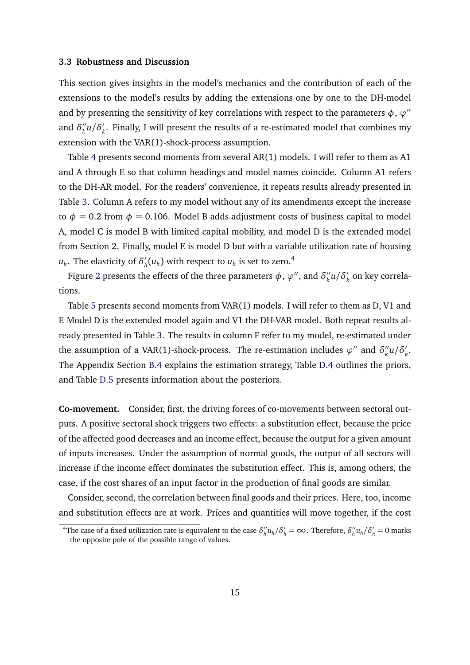#### **3.3 Robustness and Discussion**

This section gives insights in the model's mechanics and the contribution of each of the extensions to the model's results by adding the extensions one by one to the DH-model and by presenting the sensitivity of key correlations with respect to the parameters  $\phi$ ,  $\varphi$ <sup>1</sup> and  $\delta_k''$  $\binom{n}{k}$ . Finally, I will present the results of a re-estimated model that combines my extension with the VAR(1)-shock-process assumption.

Table [4](#page-16-0) presents second moments from several AR(1) models. I will refer to them as A1 and A through E so that column headings and model names coincide. Column A1 refers to the DH-AR model. For the readers' convenience, it repeats results already presented in Table [3.](#page-14-0) Column A refers to my model without any of its amendments except the increase to  $\phi = 0.2$  from  $\phi = 0.106$ . Model B adds adjustment costs of business capital to model A, model C is model B with limited capital mobility, and model D is the extended model from Section 2. Finally, model E is model D but with a variable utilization rate of housing  $u_h$ . The elasticity of  $\delta_h'$  $\gamma_h'(u_h)$  with respect to  $u_h$  is set to zero.<sup>[4](#page-0-0)</sup>

Figure [2](#page-17-0) presents the effects of the three parameters  $\phi$ ,  $\varphi''$ , and  $\delta''_k$  $\int_{k}^{\prime} u/\delta_{k}'$  on key correlations.

Table [5](#page-21-0) presents second moments from VAR(1) models. I will refer to them as D, V1 and F. Model D is the extended model again and V1 the DH-VAR model. Both repeat results already presented in Table [3.](#page-14-0) The results in column F refer to my model, re-estimated under the assumption of a VAR(1)-shock-process. The re-estimation includes  $\varphi''$  and  $\delta''_k$  $\int_{k}^{\prime\prime}u/\delta_{k}'$ . The Appendix Section [B.4](#page-0-0) explains the estimation strategy, Table [D.4](#page-0-0) outlines the priors, and Table [D.5](#page-0-0) presents information about the posteriors.

**Co-movement.** Consider, first, the driving forces of co-movements between sectoral outputs. A positive sectoral shock triggers two effects: a substitution effect, because the price of the affected good decreases and an income effect, because the output for a given amount of inputs increases. Under the assumption of normal goods, the output of all sectors will increase if the income effect dominates the substitution effect. This is, among others, the case, if the cost shares of an input factor in the production of final goods are similar.

Consider, second, the correlation between final goods and their prices. Here, too, income and substitution effects are at work. Prices and quantities will move together, if the cost

<sup>&</sup>lt;sup>4</sup>The case of a fixed utilization rate is equivalent to the case  $\delta^{\prime\prime}_h$  $\int_h'' u_h / \delta_h' = \infty$ . Therefore,  $\delta_h''$  $\int_h'' u_h / \delta_h' = 0$  marks the opposite pole of the possible range of values.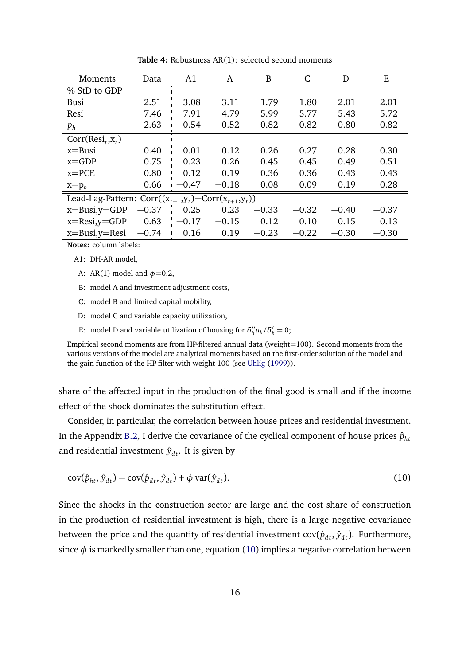<span id="page-16-0"></span>

| Moments                                                     | Data    | A <sub>1</sub> | A       | B       | C.      | D       | Ε       |
|-------------------------------------------------------------|---------|----------------|---------|---------|---------|---------|---------|
| % StD to GDP                                                |         |                |         |         |         |         |         |
| <b>Busi</b>                                                 | 2.51    | 3.08           | 3.11    | 1.79    | 1.80    | 2.01    | 2.01    |
| Resi                                                        | 7.46    | 7.91           | 4.79    | 5.99    | 5.77    | 5.43    | 5.72    |
| $p_h$                                                       | 2.63    | 0.54           | 0.52    | 0.82    | 0.82    | 0.80    | 0.82    |
| $Corr(Resi_t, x_t)$                                         |         |                |         |         |         |         |         |
| $x = B$ usi                                                 | 0.40    | 0.01           | 0.12    | 0.26    | 0.27    | 0.28    | 0.30    |
| $x = GDP$                                                   | 0.75    | 0.23           | 0.26    | 0.45    | 0.45    | 0.49    | 0.51    |
| $x = PCE$                                                   | 0.80    | 0.12           | 0.19    | 0.36    | 0.36    | 0.43    | 0.43    |
| $x=p_h$                                                     | 0.66    | $-0.47$        | $-0.18$ | 0.08    | 0.09    | 0.19    | 0.28    |
| Lead-Lag-Pattern: $Corr((x_{t-1},y_t) - Corr(x_{t+1},y_t))$ |         |                |         |         |         |         |         |
| $x = Busi, y = GDP$                                         | $-0.37$ | 0.25           | 0.23    | $-0.33$ | $-0.32$ | $-0.40$ | $-0.37$ |
| $x = Resi, y = GDP$                                         | 0.63    | $-0.17$        | $-0.15$ | 0.12    | 0.10    | 0.15    | 0.13    |
| $x = Busi, y = Resi$                                        | $-0.74$ | 0.16           | 0.19    | $-0.23$ | $-0.22$ | $-0.30$ | $-0.30$ |

**Table 4:** Robustness AR(1): selected second moments

**Notes:** column labels:

A1: DH-AR model,

- A: AR(1) model and  $\phi$ =0.2,
- B: model A and investment adjustment costs,
- C: model B and limited capital mobility,
- D: model C and variable capacity utilization,
- E: model D and variable utilization of housing for  $\delta''_h$  $\int_h'' u_h / \delta_h' = 0;$

Empirical second moments are from HP-filtered annual data (weight=100). Second moments from the various versions of the model are analytical moments based on the first-order solution of the model and the gain function of the HP-filter with weight 100 (see [Uhlig](#page-26-4) [\(1999\)](#page-26-4)).

share of the affected input in the production of the final good is small and if the income effect of the shock dominates the substitution effect.

Consider, in particular, the correlation between house prices and residential investment. In the Appendix [B.2,](#page-0-0) I derive the covariance of the cyclical component of house prices  $\hat{p}_{ht}$ and residential investment  $\hat{y}_{dt}$ . It is given by

<span id="page-16-1"></span>
$$
cov(\hat{p}_{ht}, \hat{y}_{dt}) = cov(\hat{p}_{dt}, \hat{y}_{dt}) + \phi var(\hat{y}_{dt}).
$$
\n(10)

Since the shocks in the construction sector are large and the cost share of construction in the production of residential investment is high, there is a large negative covariance between the price and the quantity of residential investment cov( $\hat{p}_{dt}$ ,  $\hat{y}_{dt}$ ). Furthermore, since  $\phi$  is markedly smaller than one, equation [\(10\)](#page-16-1) implies a negative correlation between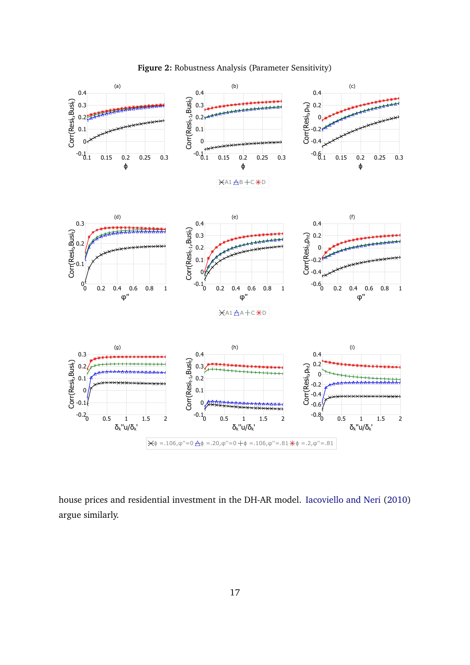<span id="page-17-0"></span>

**Figure 2:** Robustness Analysis (Parameter Sensitivity)

house prices and residential investment in the DH-AR model. [Iacoviello and Neri](#page-25-0) [\(2010\)](#page-25-0) argue similarly.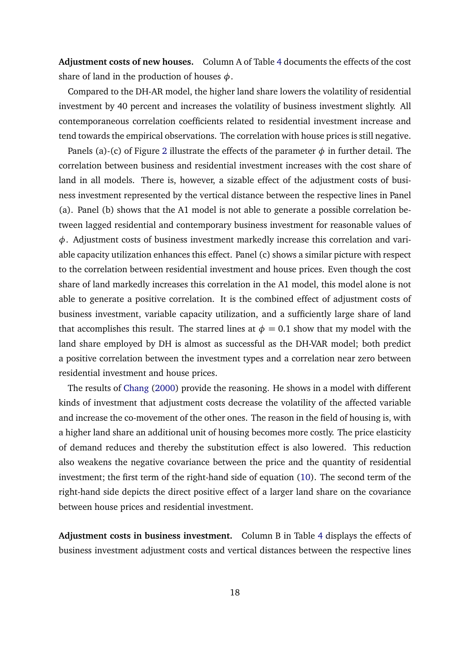**Adjustment costs of new houses.** Column A of Table [4](#page-16-0) documents the effects of the cost share of land in the production of houses *φ*.

Compared to the DH-AR model, the higher land share lowers the volatility of residential investment by 40 percent and increases the volatility of business investment slightly. All contemporaneous correlation coefficients related to residential investment increase and tend towards the empirical observations. The correlation with house prices is still negative.

Panels (a)-(c) of Figure [2](#page-17-0) illustrate the effects of the parameter  $\phi$  in further detail. The correlation between business and residential investment increases with the cost share of land in all models. There is, however, a sizable effect of the adjustment costs of business investment represented by the vertical distance between the respective lines in Panel (a). Panel (b) shows that the A1 model is not able to generate a possible correlation between lagged residential and contemporary business investment for reasonable values of *φ*. Adjustment costs of business investment markedly increase this correlation and variable capacity utilization enhances this effect. Panel (c) shows a similar picture with respect to the correlation between residential investment and house prices. Even though the cost share of land markedly increases this correlation in the A1 model, this model alone is not able to generate a positive correlation. It is the combined effect of adjustment costs of business investment, variable capacity utilization, and a sufficiently large share of land that accomplishes this result. The starred lines at  $\phi = 0.1$  show that my model with the land share employed by DH is almost as successful as the DH-VAR model; both predict a positive correlation between the investment types and a correlation near zero between residential investment and house prices.

The results of [Chang](#page-24-4) [\(2000\)](#page-24-4) provide the reasoning. He shows in a model with different kinds of investment that adjustment costs decrease the volatility of the affected variable and increase the co-movement of the other ones. The reason in the field of housing is, with a higher land share an additional unit of housing becomes more costly. The price elasticity of demand reduces and thereby the substitution effect is also lowered. This reduction also weakens the negative covariance between the price and the quantity of residential investment; the first term of the right-hand side of equation [\(10\)](#page-16-1). The second term of the right-hand side depicts the direct positive effect of a larger land share on the covariance between house prices and residential investment.

**Adjustment costs in business investment.** Column B in Table [4](#page-16-0) displays the effects of business investment adjustment costs and vertical distances between the respective lines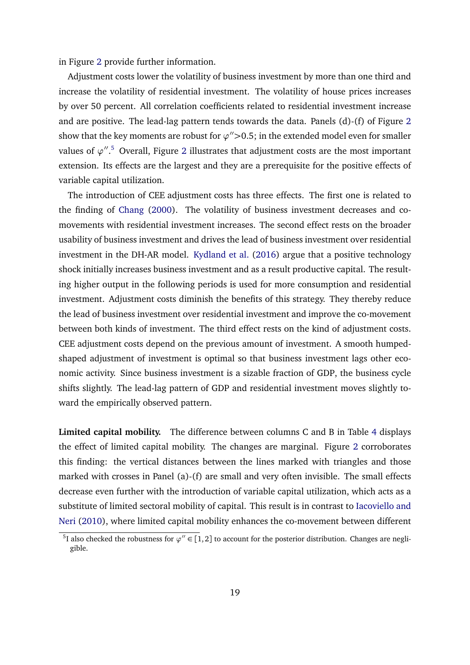in Figure [2](#page-17-0) provide further information.

Adjustment costs lower the volatility of business investment by more than one third and increase the volatility of residential investment. The volatility of house prices increases by over 50 percent. All correlation coefficients related to residential investment increase and are positive. The lead-lag pattern tends towards the data. Panels (d)-(f) of Figure [2](#page-17-0) show that the key moments are robust for  $\varphi''{>}0.5;$  in the extended model even for smaller values of  $\varphi^{\prime\prime}$ .<sup>[5](#page-0-0)</sup> Overall, Figure [2](#page-17-0) illustrates that adjustment costs are the most important extension. Its effects are the largest and they are a prerequisite for the positive effects of variable capital utilization.

The introduction of CEE adjustment costs has three effects. The first one is related to the finding of [Chang](#page-24-4) [\(2000\)](#page-24-4). The volatility of business investment decreases and comovements with residential investment increases. The second effect rests on the broader usability of business investment and drives the lead of business investment over residential investment in the DH-AR model. [Kydland et al.](#page-26-0) [\(2016\)](#page-26-0) argue that a positive technology shock initially increases business investment and as a result productive capital. The resulting higher output in the following periods is used for more consumption and residential investment. Adjustment costs diminish the benefits of this strategy. They thereby reduce the lead of business investment over residential investment and improve the co-movement between both kinds of investment. The third effect rests on the kind of adjustment costs. CEE adjustment costs depend on the previous amount of investment. A smooth humpedshaped adjustment of investment is optimal so that business investment lags other economic activity. Since business investment is a sizable fraction of GDP, the business cycle shifts slightly. The lead-lag pattern of GDP and residential investment moves slightly toward the empirically observed pattern.

**Limited capital mobility.** The difference between columns C and B in Table [4](#page-16-0) displays the effect of limited capital mobility. The changes are marginal. Figure [2](#page-17-0) corroborates this finding: the vertical distances between the lines marked with triangles and those marked with crosses in Panel (a)-(f) are small and very often invisible. The small effects decrease even further with the introduction of variable capital utilization, which acts as a substitute of limited sectoral mobility of capital. This result is in contrast to [Iacoviello and](#page-25-0) [Neri](#page-25-0) [\(2010\)](#page-25-0), where limited capital mobility enhances the co-movement between different

<sup>&</sup>lt;sup>5</sup>I also checked the robustness for  $\varphi'' \in [1,2]$  to account for the posterior distribution. Changes are negligible.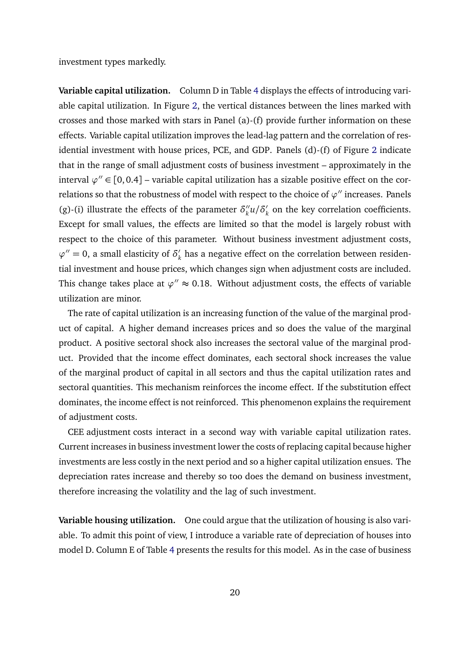investment types markedly.

**Variable capital utilization.** Column D in Table [4](#page-16-0) displays the effects of introducing variable capital utilization. In Figure [2,](#page-17-0) the vertical distances between the lines marked with crosses and those marked with stars in Panel (a)-(f) provide further information on these effects. Variable capital utilization improves the lead-lag pattern and the correlation of residential investment with house prices, PCE, and GDP. Panels (d)-(f) of Figure [2](#page-17-0) indicate that in the range of small adjustment costs of business investment – approximately in the interval *ϕ* <sup>00</sup> <sup>∈</sup> [0, 0.4] – variable capital utilization has a sizable positive effect on the correlations so that the robustness of model with respect to the choice of  $\varphi''$  increases. Panels (g)-(i) illustrate the effects of the parameter  $\delta_k$ <sup>*n*</sup>  $\frac{m}{k}u/\delta_k'$  on the key correlation coefficients. Except for small values, the effects are limited so that the model is largely robust with respect to the choice of this parameter. Without business investment adjustment costs,  $\varphi'' = 0$ , a small elasticity of  $\delta'_{\beta}$ *k* has a negative effect on the correlation between residential investment and house prices, which changes sign when adjustment costs are included. This change takes place at  $\varphi'' \approx 0.18$ . Without adjustment costs, the effects of variable utilization are minor.

The rate of capital utilization is an increasing function of the value of the marginal product of capital. A higher demand increases prices and so does the value of the marginal product. A positive sectoral shock also increases the sectoral value of the marginal product. Provided that the income effect dominates, each sectoral shock increases the value of the marginal product of capital in all sectors and thus the capital utilization rates and sectoral quantities. This mechanism reinforces the income effect. If the substitution effect dominates, the income effect is not reinforced. This phenomenon explains the requirement of adjustment costs.

CEE adjustment costs interact in a second way with variable capital utilization rates. Current increases in business investment lower the costs of replacing capital because higher investments are less costly in the next period and so a higher capital utilization ensues. The depreciation rates increase and thereby so too does the demand on business investment, therefore increasing the volatility and the lag of such investment.

**Variable housing utilization.** One could argue that the utilization of housing is also variable. To admit this point of view, I introduce a variable rate of depreciation of houses into model D. Column E of Table [4](#page-16-0) presents the results for this model. As in the case of business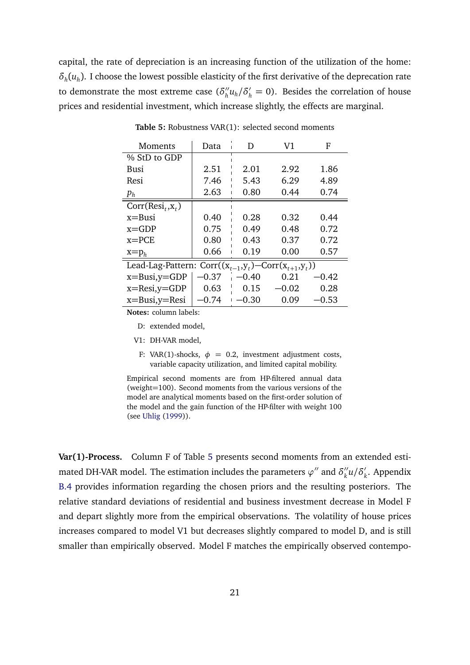<span id="page-21-0"></span>capital, the rate of depreciation is an increasing function of the utilization of the home:  $\delta_h(u_h)$ . I choose the lowest possible elasticity of the first derivative of the deprecation rate to demonstrate the most extreme case  $(\delta^{\prime\prime}_h)$  $\binom{n}{h} u_h / \delta_h' = 0$ . Besides the correlation of house prices and residential investment, which increase slightly, the effects are marginal.

| Moments                                                         | Data    | D       | V1      | F       |  |  |  |
|-----------------------------------------------------------------|---------|---------|---------|---------|--|--|--|
| % StD to GDP                                                    |         |         |         |         |  |  |  |
| <b>Busi</b>                                                     | 2.51    | 2.01    | 2.92    | 1.86    |  |  |  |
| Resi                                                            | 7.46    | 5.43    | 6.29    | 4.89    |  |  |  |
| $p_h$                                                           | 2.63    | 0.80    | 0.44    | 0.74    |  |  |  |
| $Corr(Resi_t, x_t)$                                             |         |         |         |         |  |  |  |
| $x = B$ usi                                                     | 0.40    | 0.28    | 0.32    | 0.44    |  |  |  |
| $x = GDP$                                                       | 0.75    | 0.49    | 0.48    | 0.72    |  |  |  |
| $x = PCE$                                                       | 0.80    | 0.43    | 0.37    | 0.72    |  |  |  |
| $x=p_h$                                                         | 0.66    | 0.19    | 0.00    | 0.57    |  |  |  |
| Lead-Lag-Pattern: Corr( $(x_{t-1},y_t)$ –Corr $(x_{t+1},y_t)$ ) |         |         |         |         |  |  |  |
| $x = Busi, y = GDP$                                             | $-0.37$ | $-0.40$ | 0.21    | $-0.42$ |  |  |  |
| $x = Resi, y = GDP$                                             | 0.63    | 0.15    | $-0.02$ | 0.28    |  |  |  |
| $x = Busi, y = Resi$                                            | 0.74    | 0.30    | 0.09    | 0.53    |  |  |  |

**Table 5:** Robustness VAR(1): selected second moments

**Notes:** column labels:

D: extended model,

V1: DH-VAR model,

F: VAR(1)-shocks,  $\phi = 0.2$ , investment adjustment costs, variable capacity utilization, and limited capital mobility.

Empirical second moments are from HP-filtered annual data (weight=100). Second moments from the various versions of the model are analytical moments based on the first-order solution of the model and the gain function of the HP-filter with weight 100 (see [Uhlig](#page-26-4) [\(1999\)](#page-26-4)).

**Var(1)-Process.** Column F of Table [5](#page-21-0) presents second moments from an extended estimated DH-VAR model. The estimation includes the parameters  $\varphi''$  and  $\delta''_\nu$  $\int_k u/\delta'_k$ . Appendix [B.4](#page-0-0) provides information regarding the chosen priors and the resulting posteriors. The relative standard deviations of residential and business investment decrease in Model F and depart slightly more from the empirical observations. The volatility of house prices increases compared to model V1 but decreases slightly compared to model D, and is still smaller than empirically observed. Model F matches the empirically observed contempo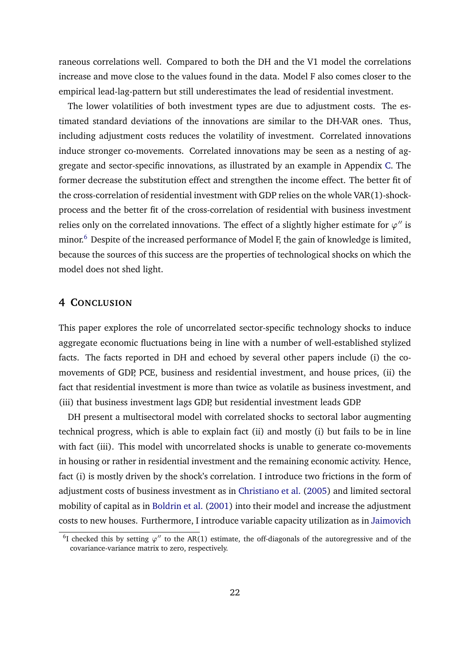raneous correlations well. Compared to both the DH and the V1 model the correlations increase and move close to the values found in the data. Model F also comes closer to the empirical lead-lag-pattern but still underestimates the lead of residential investment.

The lower volatilities of both investment types are due to adjustment costs. The estimated standard deviations of the innovations are similar to the DH-VAR ones. Thus, including adjustment costs reduces the volatility of investment. Correlated innovations induce stronger co-movements. Correlated innovations may be seen as a nesting of aggregate and sector-specific innovations, as illustrated by an example in Appendix [C.](#page-0-0) The former decrease the substitution effect and strengthen the income effect. The better fit of the cross-correlation of residential investment with GDP relies on the whole VAR(1)-shockprocess and the better fit of the cross-correlation of residential with business investment relies only on the correlated innovations. The effect of a slightly higher estimate for  $\varphi''$  is minor.<sup>[6](#page-0-0)</sup> Despite of the increased performance of Model F, the gain of knowledge is limited, because the sources of this success are the properties of technological shocks on which the model does not shed light.

# **4 CONCLUSION**

This paper explores the role of uncorrelated sector-specific technology shocks to induce aggregate economic fluctuations being in line with a number of well-established stylized facts. The facts reported in DH and echoed by several other papers include (i) the comovements of GDP, PCE, business and residential investment, and house prices, (ii) the fact that residential investment is more than twice as volatile as business investment, and (iii) that business investment lags GDP, but residential investment leads GDP.

DH present a multisectoral model with correlated shocks to sectoral labor augmenting technical progress, which is able to explain fact (ii) and mostly (i) but fails to be in line with fact (iii). This model with uncorrelated shocks is unable to generate co-movements in housing or rather in residential investment and the remaining economic activity. Hence, fact (i) is mostly driven by the shock's correlation. I introduce two frictions in the form of adjustment costs of business investment as in [Christiano et al.](#page-24-2) [\(2005\)](#page-24-2) and limited sectoral mobility of capital as in [Boldrin et al.](#page-24-3) [\(2001\)](#page-24-3) into their model and increase the adjustment costs to new houses. Furthermore, I introduce variable capacity utilization as in [Jaimovich](#page-25-2)

<sup>&</sup>lt;sup>6</sup>I checked this by setting  $\varphi''$  [to the AR\(1\) estimate, the off-diagonals of the autoregressive and of the](#page-25-2) [covariance-variance matrix to zero, respectively.](#page-25-2)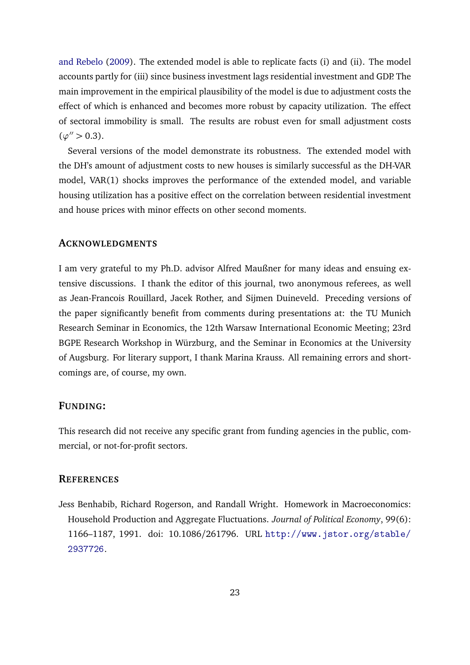[and Rebelo](#page-25-2) [\(2009\)](#page-25-2). The extended model is able to replicate facts (i) and (ii). The model accounts partly for (iii) since business investment lags residential investment and GDP. The main improvement in the empirical plausibility of the model is due to adjustment costs the effect of which is enhanced and becomes more robust by capacity utilization. The effect of sectoral immobility is small. The results are robust even for small adjustment costs  $(\varphi'' > 0.3).$ 

Several versions of the model demonstrate its robustness. The extended model with the DH's amount of adjustment costs to new houses is similarly successful as the DH-VAR model, VAR(1) shocks improves the performance of the extended model, and variable housing utilization has a positive effect on the correlation between residential investment and house prices with minor effects on other second moments.

#### **ACKNOWLEDGMENTS**

I am very grateful to my Ph.D. advisor Alfred Maußner for many ideas and ensuing extensive discussions. I thank the editor of this journal, two anonymous referees, as well as Jean-Francois Rouillard, Jacek Rother, and Sijmen Duineveld. Preceding versions of the paper significantly benefit from comments during presentations at: the TU Munich Research Seminar in Economics, the 12th Warsaw International Economic Meeting; 23rd BGPE Research Workshop in Würzburg, and the Seminar in Economics at the University of Augsburg. For literary support, I thank Marina Krauss. All remaining errors and shortcomings are, of course, my own.

# **FUNDING:**

This research did not receive any specific grant from funding agencies in the public, commercial, or not-for-profit sectors.

#### **REFERENCES**

<span id="page-23-0"></span>Jess Benhabib, Richard Rogerson, and Randall Wright. Homework in Macroeconomics: Household Production and Aggregate Fluctuations. *Journal of Political Economy*, 99(6): 1166–1187, 1991. doi: 10.1086/261796. URL [http://www.jstor.org/stable/](http://www.jstor.org/stable/2937726) [2937726](http://www.jstor.org/stable/2937726).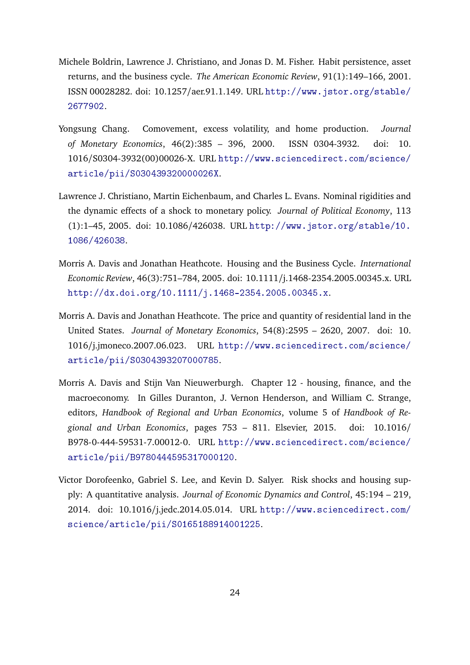- <span id="page-24-3"></span>Michele Boldrin, Lawrence J. Christiano, and Jonas D. M. Fisher. Habit persistence, asset returns, and the business cycle. *The American Economic Review*, 91(1):149–166, 2001. ISSN 00028282. doi: 10.1257/aer.91.1.149. URL [http://www.jstor.org/stable/](http://www.jstor.org/stable/2677902) [2677902](http://www.jstor.org/stable/2677902).
- <span id="page-24-4"></span>Yongsung Chang. Comovement, excess volatility, and home production. *Journal of Monetary Economics*, 46(2):385 – 396, 2000. ISSN 0304-3932. doi: 10. 1016/S0304-3932(00)00026-X. URL [http://www.sciencedirect.com/science/](http://www.sciencedirect.com/science/article/pii/S030439320000026X) [article/pii/S030439320000026X](http://www.sciencedirect.com/science/article/pii/S030439320000026X).
- <span id="page-24-2"></span>Lawrence J. Christiano, Martin Eichenbaum, and Charles L. Evans. Nominal rigidities and the dynamic effects of a shock to monetary policy. *Journal of Political Economy*, 113 (1):1–45, 2005. doi: 10.1086/426038. URL [http://www.jstor.org/stable/10.](http://www.jstor.org/stable/10.1086/426038) [1086/426038](http://www.jstor.org/stable/10.1086/426038).
- <span id="page-24-0"></span>Morris A. Davis and Jonathan Heathcote. Housing and the Business Cycle. *International Economic Review*, 46(3):751–784, 2005. doi: 10.1111/j.1468-2354.2005.00345.x. URL <http://dx.doi.org/10.1111/j.1468-2354.2005.00345.x>.
- <span id="page-24-6"></span>Morris A. Davis and Jonathan Heathcote. The price and quantity of residential land in the United States. *Journal of Monetary Economics*, 54(8):2595 – 2620, 2007. doi: 10. 1016/j.jmoneco.2007.06.023. URL [http://www.sciencedirect.com/science/](http://www.sciencedirect.com/science/article/pii/S0304393207000785) [article/pii/S0304393207000785](http://www.sciencedirect.com/science/article/pii/S0304393207000785).
- <span id="page-24-1"></span>Morris A. Davis and Stijn Van Nieuwerburgh. Chapter 12 - housing, finance, and the macroeconomy. In Gilles Duranton, J. Vernon Henderson, and William C. Strange, editors, *Handbook of Regional and Urban Economics*, volume 5 of *Handbook of Regional and Urban Economics*, pages 753 – 811. Elsevier, 2015. doi: 10.1016/ B978-0-444-59531-7.00012-0. URL [http://www.sciencedirect.com/science/](http://www.sciencedirect.com/science/article/pii/B9780444595317000120) [article/pii/B9780444595317000120](http://www.sciencedirect.com/science/article/pii/B9780444595317000120).
- <span id="page-24-5"></span>Victor Dorofeenko, Gabriel S. Lee, and Kevin D. Salyer. Risk shocks and housing supply: A quantitative analysis. *Journal of Economic Dynamics and Control*, 45:194 – 219, 2014. doi: 10.1016/j.jedc.2014.05.014. URL [http://www.sciencedirect.com/](http://www.sciencedirect.com/science/article/pii/S0165188914001225) [science/article/pii/S0165188914001225](http://www.sciencedirect.com/science/article/pii/S0165188914001225).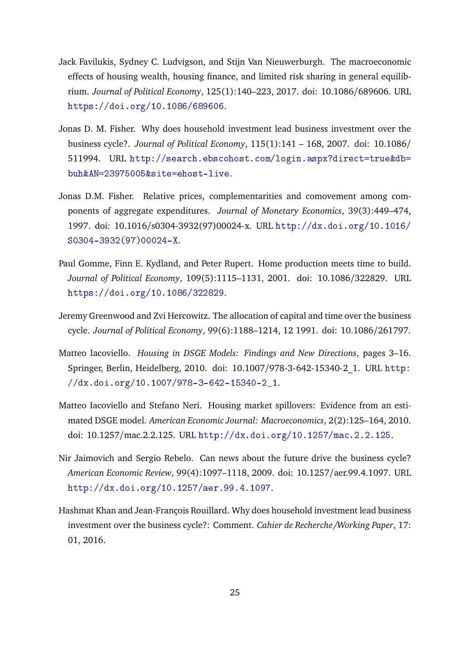- <span id="page-25-8"></span>Jack Favilukis, Sydney C. Ludvigson, and Stijn Van Nieuwerburgh. The macroeconomic effects of housing wealth, housing finance, and limited risk sharing in general equilibrium. *Journal of Political Economy*, 125(1):140–223, 2017. doi: 10.1086/689606. URL <https://doi.org/10.1086/689606>.
- <span id="page-25-6"></span>Jonas D. M. Fisher. Why does household investment lead business investment over the business cycle?. *Journal of Political Economy*, 115(1):141 – 168, 2007. doi: 10.1086/ 511994. URL [http://search.ebscohost.com/login.aspx?direct=true&db=](http://search.ebscohost.com/login.aspx?direct=true&db=buh&AN=23975005&site=ehost-live) [buh&AN=23975005&site=ehost-live](http://search.ebscohost.com/login.aspx?direct=true&db=buh&AN=23975005&site=ehost-live).
- <span id="page-25-4"></span>Jonas D.M. Fisher. Relative prices, complementarities and comovement among components of aggregate expenditures. *Journal of Monetary Economics*, 39(3):449–474, 1997. doi: 10.1016/s0304-3932(97)00024-x. URL [http://dx.doi.org/10.1016/](http://dx.doi.org/10.1016/S0304-3932(97)00024-X) [S0304-3932\(97\)00024-X](http://dx.doi.org/10.1016/S0304-3932(97)00024-X).
- <span id="page-25-5"></span>Paul Gomme, Finn E. Kydland, and Peter Rupert. Home production meets time to build. *Journal of Political Economy*, 109(5):1115–1131, 2001. doi: 10.1086/322829. URL <https://doi.org/10.1086/322829>.
- <span id="page-25-3"></span>Jeremy Greenwood and Zvi Hercowitz. The allocation of capital and time over the business cycle. *Journal of Political Economy*, 99(6):1188–1214, 12 1991. doi: 10.1086/261797.
- <span id="page-25-1"></span>Matteo Iacoviello. *Housing in DSGE Models: Findings and New Directions*, pages 3–16. Springer, Berlin, Heidelberg, 2010. doi: 10.1007/978-3-642-15340-2\_1. URL [http:](http://dx.doi.org/10.1007/978-3-642-15340-2_1) [//dx.doi.org/10.1007/978-3-642-15340-2\\_1](http://dx.doi.org/10.1007/978-3-642-15340-2_1).
- <span id="page-25-0"></span>Matteo Iacoviello and Stefano Neri. Housing market spillovers: Evidence from an estimated DSGE model. *American Economic Journal: Macroeconomics*, 2(2):125–164, 2010. doi: 10.1257/mac.2.2.125. URL <http://dx.doi.org/10.1257/mac.2.2.125>.
- <span id="page-25-2"></span>Nir Jaimovich and Sergio Rebelo. Can news about the future drive the business cycle? *American Economic Review*, 99(4):1097–1118, 2009. doi: 10.1257/aer.99.4.1097. URL <http://dx.doi.org/10.1257/aer.99.4.1097>.
- <span id="page-25-7"></span>Hashmat Khan and Jean-François Rouillard. Why does household investment lead business investment over the business cycle?: Comment. *Cahier de Recherche/Working Paper*, 17: 01, 2016.